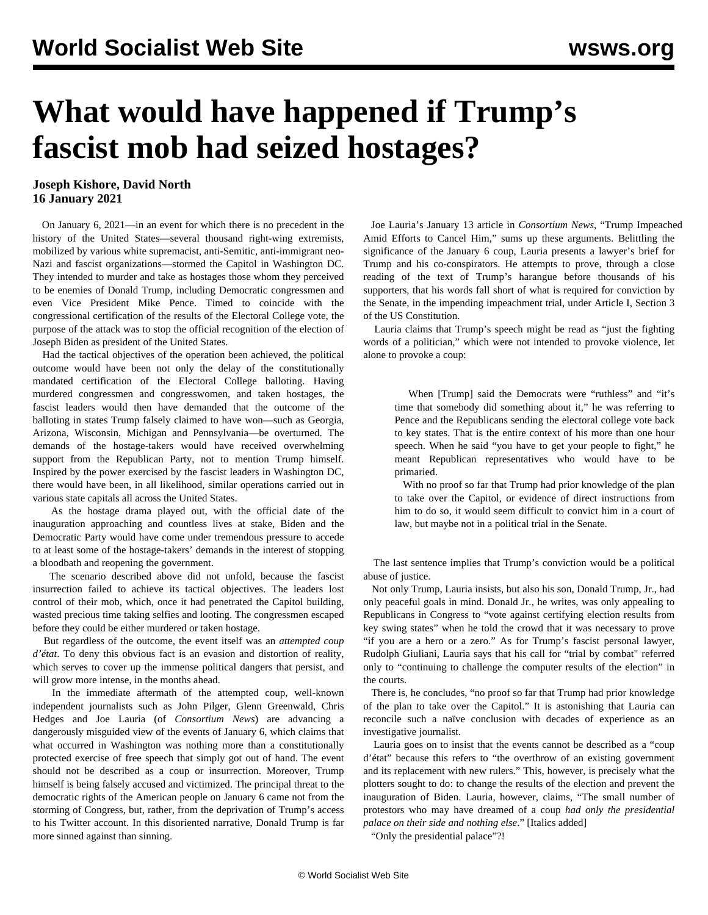## **What would have happened if Trump's fascist mob had seized hostages?**

## **Joseph Kishore, David North 16 January 2021**

 On January 6, 2021—in an event for which there is no precedent in the history of the United States—several thousand right-wing extremists, mobilized by various white supremacist, anti-Semitic, anti-immigrant neo-Nazi and fascist organizations—stormed the Capitol in Washington DC. They intended to murder and take as hostages those whom they perceived to be enemies of Donald Trump, including Democratic congressmen and even Vice President Mike Pence. Timed to coincide with the congressional certification of the results of the Electoral College vote, the purpose of the attack was to stop the official recognition of the election of Joseph Biden as president of the United States.

 Had the tactical objectives of the operation been achieved, the political outcome would have been not only the delay of the constitutionally mandated certification of the Electoral College balloting. Having murdered congressmen and congresswomen, and taken hostages, the fascist leaders would then have demanded that the outcome of the balloting in states Trump falsely claimed to have won—such as Georgia, Arizona, Wisconsin, Michigan and Pennsylvania—be overturned. The demands of the hostage-takers would have received overwhelming support from the Republican Party, not to mention Trump himself. Inspired by the power exercised by the fascist leaders in Washington DC, there would have been, in all likelihood, similar operations carried out in various state capitals all across the United States.

 As the hostage drama played out, with the official date of the inauguration approaching and countless lives at stake, Biden and the Democratic Party would have come under tremendous pressure to accede to at least some of the hostage-takers' demands in the interest of stopping a bloodbath and reopening the government.

 The scenario described above did not unfold, because the fascist insurrection failed to achieve its tactical objectives. The leaders lost control of their mob, which, once it had penetrated the Capitol building, wasted precious time taking selfies and looting. The congressmen escaped before they could be either murdered or taken hostage.

 But regardless of the outcome, the event itself was an *attempted coup d'état*. To deny this obvious fact is an evasion and distortion of reality, which serves to cover up the immense political dangers that persist, and will grow more intense, in the months ahead.

 In the immediate aftermath of the attempted coup, well-known independent journalists such as John Pilger, Glenn Greenwald, Chris Hedges and Joe Lauria (of *Consortium News*) are advancing a dangerously misguided view of the events of January 6, which claims that what occurred in Washington was nothing more than a constitutionally protected exercise of free speech that simply got out of hand. The event should not be described as a coup or insurrection. Moreover, Trump himself is being falsely accused and victimized. The principal threat to the democratic rights of the American people on January 6 came not from the storming of Congress, but, rather, from the deprivation of Trump's access to his Twitter account. In this disoriented narrative, Donald Trump is far more sinned against than sinning.

 Joe Lauria's January 13 article in *Consortium News*, "Trump Impeached Amid Efforts to Cancel Him," sums up these arguments. Belittling the significance of the January 6 coup, Lauria presents a lawyer's brief for Trump and his co-conspirators. He attempts to prove, through a close reading of the text of Trump's harangue before thousands of his supporters, that his words fall short of what is required for conviction by the Senate, in the impending impeachment trial, under Article I, Section 3 of the US Constitution.

 Lauria claims that Trump's speech might be read as "just the fighting words of a politician," which were not intended to provoke violence, let alone to provoke a coup:

 When [Trump] said the Democrats were "ruthless" and "it's time that somebody did something about it," he was referring to Pence and the Republicans sending the electoral college vote back to key states. That is the entire context of his more than one hour speech. When he said "you have to get your people to fight," he meant Republican representatives who would have to be primaried.

 With no proof so far that Trump had prior knowledge of the plan to take over the Capitol, or evidence of direct instructions from him to do so, it would seem difficult to convict him in a court of law, but maybe not in a political trial in the Senate.

 The last sentence implies that Trump's conviction would be a political abuse of justice.

 Not only Trump, Lauria insists, but also his son, Donald Trump, Jr., had only peaceful goals in mind. Donald Jr., he writes, was only appealing to Republicans in Congress to "vote against certifying election results from key swing states" when he told the crowd that it was necessary to prove "if you are a hero or a zero." As for Trump's fascist personal lawyer, Rudolph Giuliani, Lauria says that his call for "trial by combat" referred only to "continuing to challenge the computer results of the election" in the courts.

 There is, he concludes, "no proof so far that Trump had prior knowledge of the plan to take over the Capitol." It is astonishing that Lauria can reconcile such a naïve conclusion with decades of experience as an investigative journalist.

 Lauria goes on to insist that the events cannot be described as a "coup d'état" because this refers to "the overthrow of an existing government and its replacement with new rulers." This, however, is precisely what the plotters sought to do: to change the results of the election and prevent the inauguration of Biden. Lauria, however, claims, "The small number of protestors who may have dreamed of a coup *had only the presidential palace on their side and nothing else*." [Italics added]

"Only the presidential palace"?!